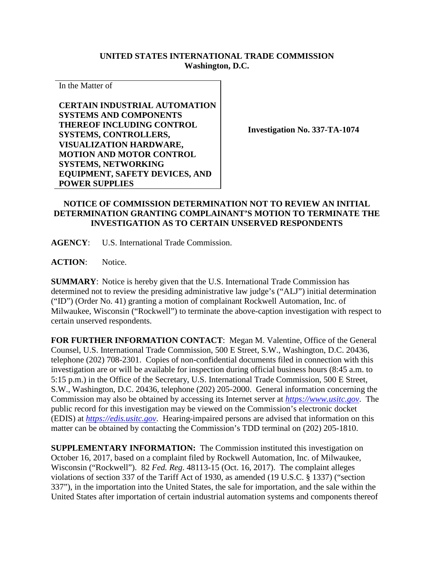## **UNITED STATES INTERNATIONAL TRADE COMMISSION Washington, D.C.**

In the Matter of

**CERTAIN INDUSTRIAL AUTOMATION SYSTEMS AND COMPONENTS THEREOF INCLUDING CONTROL SYSTEMS, CONTROLLERS, VISUALIZATION HARDWARE, MOTION AND MOTOR CONTROL SYSTEMS, NETWORKING EQUIPMENT, SAFETY DEVICES, AND POWER SUPPLIES**

**Investigation No. 337-TA-1074**

## **NOTICE OF COMMISSION DETERMINATION NOT TO REVIEW AN INITIAL DETERMINATION GRANTING COMPLAINANT'S MOTION TO TERMINATE THE INVESTIGATION AS TO CERTAIN UNSERVED RESPONDENTS**

**AGENCY**: U.S. International Trade Commission.

**ACTION**: Notice.

**SUMMARY**: Notice is hereby given that the U.S. International Trade Commission has determined not to review the presiding administrative law judge's ("ALJ") initial determination ("ID") (Order No. 41) granting a motion of complainant Rockwell Automation, Inc. of Milwaukee, Wisconsin ("Rockwell") to terminate the above-caption investigation with respect to certain unserved respondents.

**FOR FURTHER INFORMATION CONTACT**: Megan M. Valentine, Office of the General Counsel, U.S. International Trade Commission, 500 E Street, S.W., Washington, D.C. 20436, telephone (202) 708-2301. Copies of non-confidential documents filed in connection with this investigation are or will be available for inspection during official business hours (8:45 a.m. to 5:15 p.m.) in the Office of the Secretary, U.S. International Trade Commission, 500 E Street, S.W., Washington, D.C. 20436, telephone (202) 205-2000. General information concerning the Commission may also be obtained by accessing its Internet server at *[https://www.usitc.gov](https://www.usitc.gov/)*. The public record for this investigation may be viewed on the Commission's electronic docket (EDIS) at *[https://edis.usitc.gov](https://edis.usitc.gov/)*. Hearing-impaired persons are advised that information on this matter can be obtained by contacting the Commission's TDD terminal on (202) 205-1810.

**SUPPLEMENTARY INFORMATION:** The Commission instituted this investigation on October 16, 2017, based on a complaint filed by Rockwell Automation, Inc. of Milwaukee, Wisconsin ("Rockwell"). 82 *Fed. Reg*. 48113-15 (Oct. 16, 2017). The complaint alleges violations of section 337 of the Tariff Act of 1930, as amended (19 U.S.C. § 1337) ("section 337"), in the importation into the United States, the sale for importation, and the sale within the United States after importation of certain industrial automation systems and components thereof